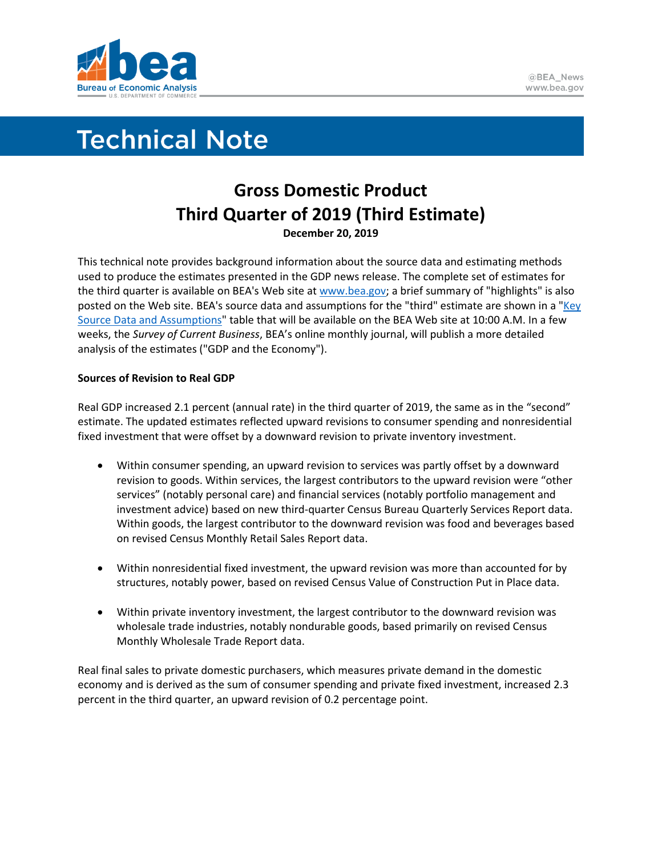

# **Technical Note**

# **Gross Domestic Product Third Quarter of 2019 (Third Estimate) December 20, 2019**

This technical note provides background information about the source data and estimating methods used to produce the estimates presented in the GDP news release. The complete set of estimates for the third quarter is available on BEA's Web site a[t www.bea.gov;](http://www.bea.gov/) a brief summary of "highlights" is also posted on the Web site. BEA's source data and assumptions for the "third" estimate are shown in a ["Key](https://www.bea.gov/system/files/2019-12/GDPKeySource_3q19_12-20-19.xlsx)  [Source Data and Assumptions"](https://www.bea.gov/system/files/2019-12/GDPKeySource_3q19_12-20-19.xlsx) table that will be available on the BEA Web site at 10:00 A.M. In a few weeks, the *Survey of Current Business*, BEA's online monthly journal, will publish a more detailed analysis of the estimates ("GDP and the Economy").

## **Sources of Revision to Real GDP**

Real GDP increased 2.1 percent (annual rate) in the third quarter of 2019, the same as in the "second" estimate. The updated estimates reflected upward revisions to consumer spending and nonresidential fixed investment that were offset by a downward revision to private inventory investment.

- Within consumer spending, an upward revision to services was partly offset by a downward revision to goods. Within services, the largest contributors to the upward revision were "other services" (notably personal care) and financial services (notably portfolio management and investment advice) based on new third-quarter Census Bureau Quarterly Services Report data. Within goods, the largest contributor to the downward revision was food and beverages based on revised Census Monthly Retail Sales Report data.
- Within nonresidential fixed investment, the upward revision was more than accounted for by structures, notably power, based on revised Census Value of Construction Put in Place data.
- Within private inventory investment, the largest contributor to the downward revision was wholesale trade industries, notably nondurable goods, based primarily on revised Census Monthly Wholesale Trade Report data.

Real final sales to private domestic purchasers, which measures private demand in the domestic economy and is derived as the sum of consumer spending and private fixed investment, increased 2.3 percent in the third quarter, an upward revision of 0.2 percentage point.